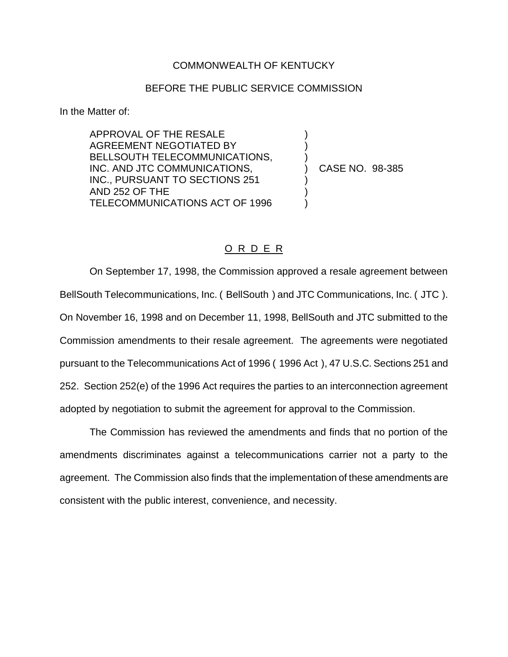## COMMONWEALTH OF KENTUCKY

## BEFORE THE PUBLIC SERVICE COMMISSION

) ) )

) ) )

In the Matter of:

APPROVAL OF THE RESALE AGREEMENT NEGOTIATED BY BELLSOUTH TELECOMMUNICATIONS, INC. AND JTC COMMUNICATIONS, INC., PURSUANT TO SECTIONS 251 AND 252 OF THE TELECOMMUNICATIONS ACT OF 1996

) CASE NO. 98-385

## O R D E R

On September 17, 1998, the Commission approved a resale agreement between BellSouth Telecommunications, Inc. ( BellSouth ) and JTC Communications, Inc. ( JTC ). On November 16, 1998 and on December 11, 1998, BellSouth and JTC submitted to the Commission amendments to their resale agreement. The agreements were negotiated pursuant to the Telecommunications Act of 1996 ( 1996 Act ), 47 U.S.C. Sections 251 and 252. Section 252(e) of the 1996 Act requires the parties to an interconnection agreement adopted by negotiation to submit the agreement for approval to the Commission.

The Commission has reviewed the amendments and finds that no portion of the amendments discriminates against a telecommunications carrier not a party to the agreement. The Commission also finds that the implementation of these amendments are consistent with the public interest, convenience, and necessity.